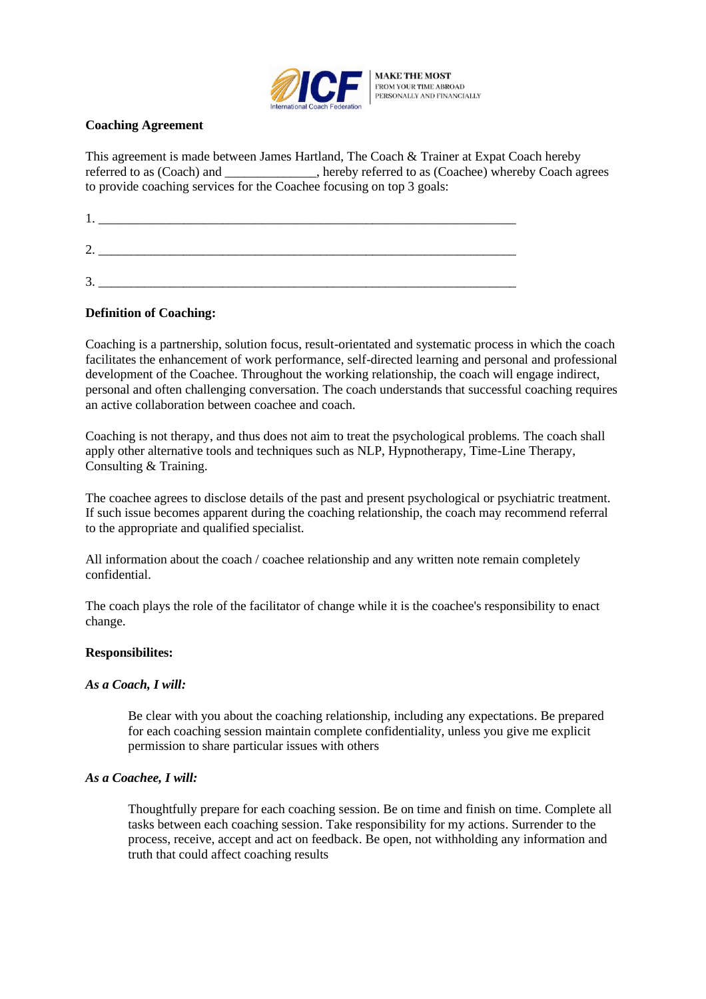

#### **Coaching Agreement**

This agreement is made between James Hartland, The Coach & Trainer at Expat Coach hereby referred to as (Coach) and \_\_\_\_\_\_\_\_\_\_\_\_\_\_, hereby referred to as (Coachee) whereby Coach agrees to provide coaching services for the Coachee focusing on top 3 goals:

| 0<br>Ź.  |  |  |
|----------|--|--|
| 2<br>. ب |  |  |

### **Definition of Coaching:**

Coaching is a partnership, solution focus, result-orientated and systematic process in which the coach facilitates the enhancement of work performance, self-directed learning and personal and professional development of the Coachee. Throughout the working relationship, the coach will engage indirect, personal and often challenging conversation. The coach understands that successful coaching requires an active collaboration between coachee and coach.

Coaching is not therapy, and thus does not aim to treat the psychological problems. The coach shall apply other alternative tools and techniques such as NLP, Hypnotherapy, Time-Line Therapy, Consulting & Training.

The coachee agrees to disclose details of the past and present psychological or psychiatric treatment. If such issue becomes apparent during the coaching relationship, the coach may recommend referral to the appropriate and qualified specialist.

All information about the coach / coachee relationship and any written note remain completely confidential.

The coach plays the role of the facilitator of change while it is the coachee's responsibility to enact change.

#### **Responsibilites:**

#### *As a Coach, I will:*

Be clear with you about the coaching relationship, including any expectations. Be prepared for each coaching session maintain complete confidentiality, unless you give me explicit permission to share particular issues with others

#### *As a Coachee, I will:*

Thoughtfully prepare for each coaching session. Be on time and finish on time. Complete all tasks between each coaching session. Take responsibility for my actions. Surrender to the process, receive, accept and act on feedback. Be open, not withholding any information and truth that could affect coaching results